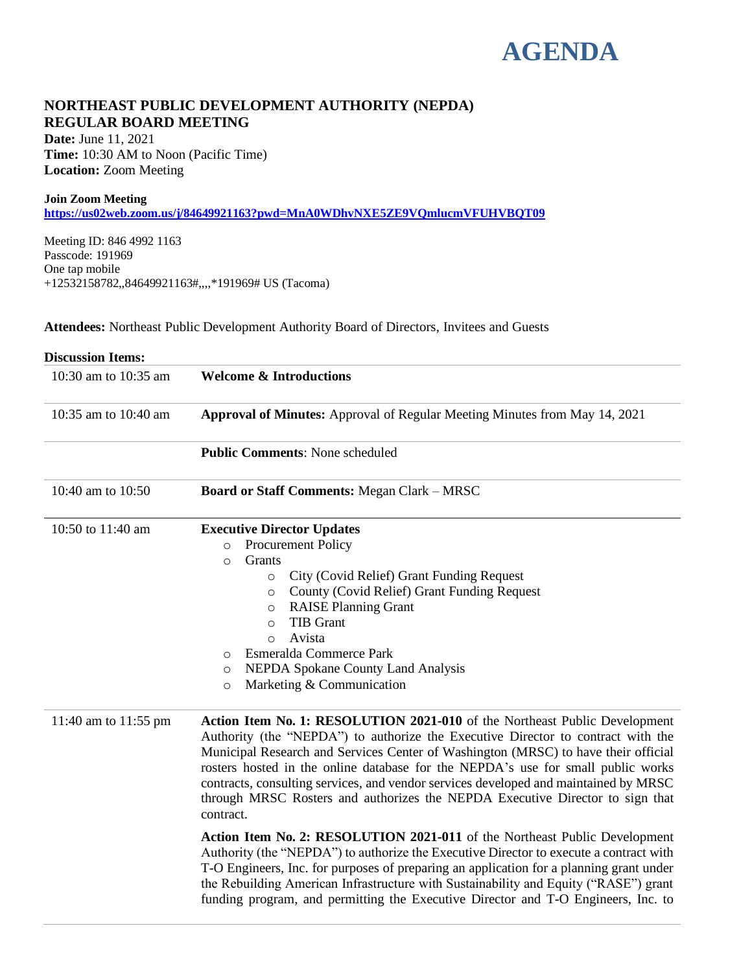# **AGENDA**

# **NORTHEAST PUBLIC DEVELOPMENT AUTHORITY (NEPDA) REGULAR BOARD MEETING**

**Date:** June 11, 2021 **Time:** 10:30 AM to Noon (Pacific Time) **Location:** Zoom Meeting

#### **Join Zoom Meeting**

**<https://us02web.zoom.us/j/84649921163?pwd=MnA0WDhvNXE5ZE9VQmlucmVFUHVBQT09>**

Meeting ID: 846 4992 1163 Passcode: 191969 One tap mobile +12532158782,,84649921163#,,,,\*191969# US (Tacoma)

**Attendees:** Northeast Public Development Authority Board of Directors, Invitees and Guests

| <b>Discussion Items:</b> |                                                                                                                                                                                                                                                                                                                                                                                                                                                                                                                                |
|--------------------------|--------------------------------------------------------------------------------------------------------------------------------------------------------------------------------------------------------------------------------------------------------------------------------------------------------------------------------------------------------------------------------------------------------------------------------------------------------------------------------------------------------------------------------|
| 10:30 am to 10:35 am     | <b>Welcome &amp; Introductions</b>                                                                                                                                                                                                                                                                                                                                                                                                                                                                                             |
| 10:35 am to 10:40 am     | Approval of Minutes: Approval of Regular Meeting Minutes from May 14, 2021                                                                                                                                                                                                                                                                                                                                                                                                                                                     |
|                          | <b>Public Comments: None scheduled</b>                                                                                                                                                                                                                                                                                                                                                                                                                                                                                         |
| 10:40 am to 10:50        | Board or Staff Comments: Megan Clark - MRSC                                                                                                                                                                                                                                                                                                                                                                                                                                                                                    |
| 10:50 to 11:40 am        | <b>Executive Director Updates</b><br><b>Procurement Policy</b><br>$\circ$<br>Grants<br>$\circ$<br>City (Covid Relief) Grant Funding Request<br>$\circ$<br>County (Covid Relief) Grant Funding Request<br>$\circ$<br><b>RAISE Planning Grant</b><br>$\circ$<br>TIB Grant<br>$\circ$<br>Avista<br>$\circ$<br>Esmeralda Commerce Park<br>$\circ$<br>NEPDA Spokane County Land Analysis<br>O<br>Marketing & Communication<br>$\circ$                                                                                               |
| 11:40 am to 11:55 pm     | Action Item No. 1: RESOLUTION 2021-010 of the Northeast Public Development<br>Authority (the "NEPDA") to authorize the Executive Director to contract with the<br>Municipal Research and Services Center of Washington (MRSC) to have their official<br>rosters hosted in the online database for the NEPDA's use for small public works<br>contracts, consulting services, and vendor services developed and maintained by MRSC<br>through MRSC Rosters and authorizes the NEPDA Executive Director to sign that<br>contract. |
|                          | Action Item No. 2: RESOLUTION 2021-011 of the Northeast Public Development<br>Authority (the "NEPDA") to authorize the Executive Director to execute a contract with<br>T-O Engineers, Inc. for purposes of preparing an application for a planning grant under<br>the Rebuilding American Infrastructure with Sustainability and Equity ("RASE") grant<br>funding program, and permitting the Executive Director and T-O Engineers, Inc. to                                                                                   |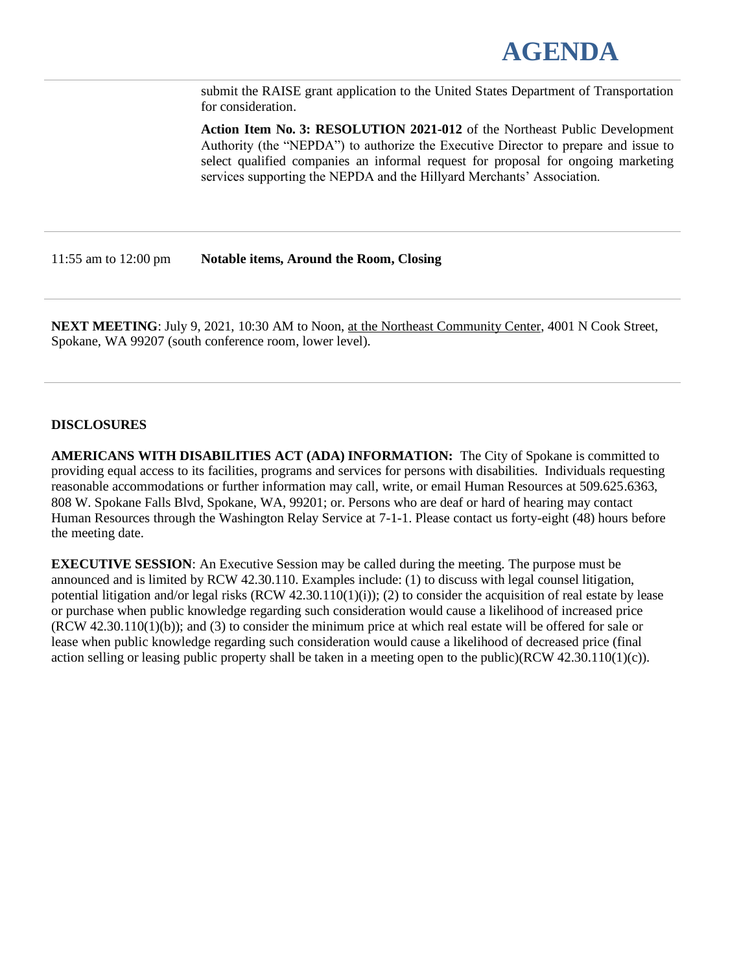

submit the RAISE grant application to the United States Department of Transportation for consideration.

**Action Item No. 3: RESOLUTION 2021-012** of the Northeast Public Development Authority (the "NEPDA") to authorize the Executive Director to prepare and issue to select qualified companies an informal request for proposal for ongoing marketing services supporting the NEPDA and the Hillyard Merchants' Association.

11:55 am to 12:00 pm **Notable items, Around the Room, Closing**

**NEXT MEETING**: July 9, 2021, 10:30 AM to Noon, at the Northeast Community Center, 4001 N Cook Street, Spokane, WA 99207 (south conference room, lower level).

#### **DISCLOSURES**

**AMERICANS WITH DISABILITIES ACT (ADA) INFORMATION:** The City of Spokane is committed to providing equal access to its facilities, programs and services for persons with disabilities. Individuals requesting reasonable accommodations or further information may call, write, or email Human Resources at 509.625.6363, 808 W. Spokane Falls Blvd, Spokane, WA, 99201; or. Persons who are deaf or hard of hearing may contact Human Resources through the Washington Relay Service at 7-1-1. Please contact us forty-eight (48) hours before the meeting date.

**EXECUTIVE SESSION**: An Executive Session may be called during the meeting. The purpose must be announced and is limited by RCW 42.30.110. Examples include: (1) to discuss with legal counsel litigation, potential litigation and/or legal risks  $(RCW 42.30.110(1)(i))$ ; (2) to consider the acquisition of real estate by lease or purchase when public knowledge regarding such consideration would cause a likelihood of increased price (RCW 42.30.110(1)(b)); and (3) to consider the minimum price at which real estate will be offered for sale or lease when public knowledge regarding such consideration would cause a likelihood of decreased price (final action selling or leasing public property shall be taken in a meeting open to the public)(RCW 42.30.110(1)(c)).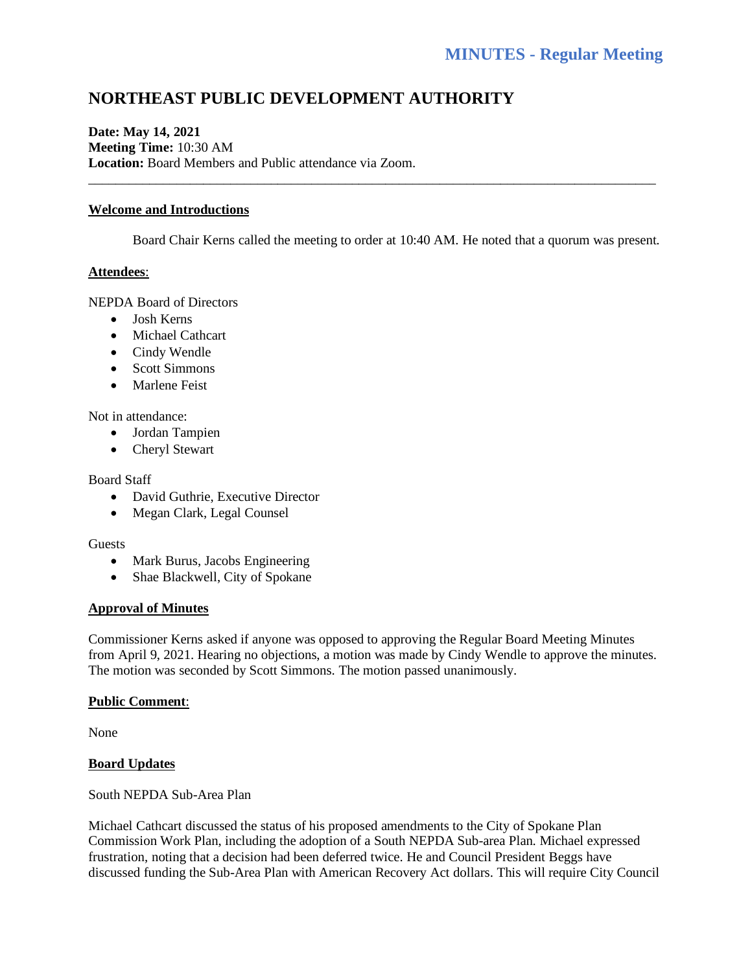# **NORTHEAST PUBLIC DEVELOPMENT AUTHORITY**

### **Date: May 14, 2021 Meeting Time:** 10:30 AM **Location:** Board Members and Public attendance via Zoom.

#### **Welcome and Introductions**

Board Chair Kerns called the meeting to order at 10:40 AM. He noted that a quorum was present.

\_\_\_\_\_\_\_\_\_\_\_\_\_\_\_\_\_\_\_\_\_\_\_\_\_\_\_\_\_\_\_\_\_\_\_\_\_\_\_\_\_\_\_\_\_\_\_\_\_\_\_\_\_\_\_\_\_\_\_\_\_\_\_\_\_\_\_\_\_\_\_\_\_\_\_\_\_\_\_\_\_\_\_\_

#### **Attendees**:

NEPDA Board of Directors

- Josh Kerns
- Michael Cathcart
- Cindy Wendle
- Scott Simmons
- Marlene Feist

Not in attendance:

- Jordan Tampien
- Cheryl Stewart

#### Board Staff

- David Guthrie, Executive Director
- Megan Clark, Legal Counsel

#### **Guests**

- Mark Burus, Jacobs Engineering
- Shae Blackwell, City of Spokane

#### **Approval of Minutes**

Commissioner Kerns asked if anyone was opposed to approving the Regular Board Meeting Minutes from April 9, 2021. Hearing no objections, a motion was made by Cindy Wendle to approve the minutes. The motion was seconded by Scott Simmons. The motion passed unanimously.

#### **Public Comment**:

None

#### **Board Updates**

South NEPDA Sub-Area Plan

Michael Cathcart discussed the status of his proposed amendments to the City of Spokane Plan Commission Work Plan, including the adoption of a South NEPDA Sub-area Plan. Michael expressed frustration, noting that a decision had been deferred twice. He and Council President Beggs have discussed funding the Sub-Area Plan with American Recovery Act dollars. This will require City Council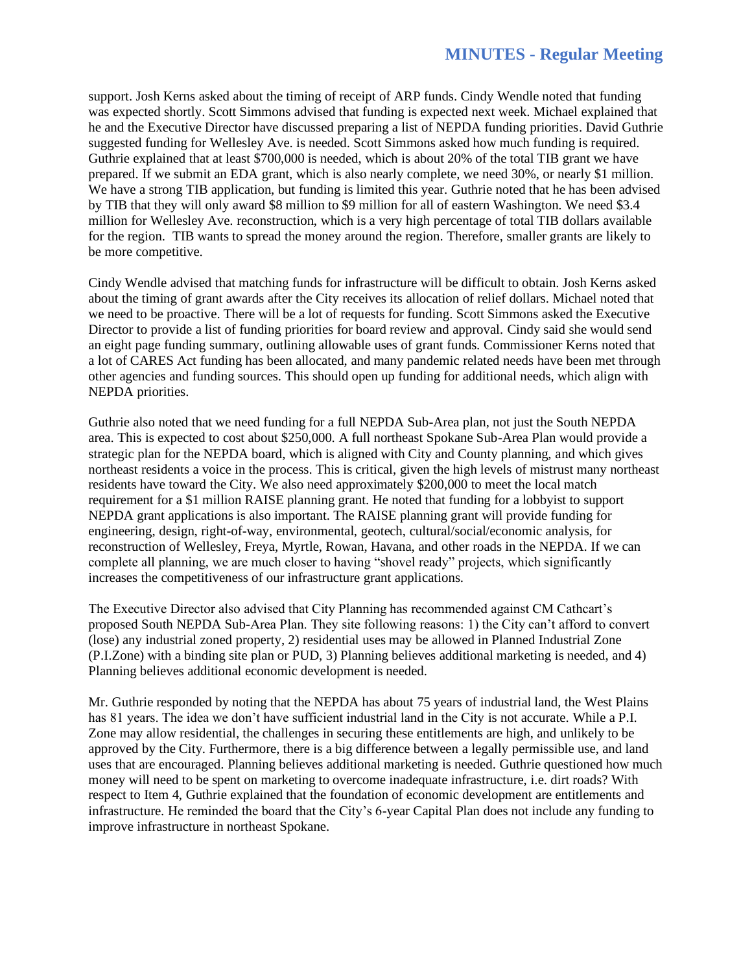support. Josh Kerns asked about the timing of receipt of ARP funds. Cindy Wendle noted that funding was expected shortly. Scott Simmons advised that funding is expected next week. Michael explained that he and the Executive Director have discussed preparing a list of NEPDA funding priorities. David Guthrie suggested funding for Wellesley Ave. is needed. Scott Simmons asked how much funding is required. Guthrie explained that at least \$700,000 is needed, which is about 20% of the total TIB grant we have prepared. If we submit an EDA grant, which is also nearly complete, we need 30%, or nearly \$1 million. We have a strong TIB application, but funding is limited this year. Guthrie noted that he has been advised by TIB that they will only award \$8 million to \$9 million for all of eastern Washington. We need \$3.4 million for Wellesley Ave. reconstruction, which is a very high percentage of total TIB dollars available for the region. TIB wants to spread the money around the region. Therefore, smaller grants are likely to be more competitive.

Cindy Wendle advised that matching funds for infrastructure will be difficult to obtain. Josh Kerns asked about the timing of grant awards after the City receives its allocation of relief dollars. Michael noted that we need to be proactive. There will be a lot of requests for funding. Scott Simmons asked the Executive Director to provide a list of funding priorities for board review and approval. Cindy said she would send an eight page funding summary, outlining allowable uses of grant funds. Commissioner Kerns noted that a lot of CARES Act funding has been allocated, and many pandemic related needs have been met through other agencies and funding sources. This should open up funding for additional needs, which align with NEPDA priorities.

Guthrie also noted that we need funding for a full NEPDA Sub-Area plan, not just the South NEPDA area. This is expected to cost about \$250,000. A full northeast Spokane Sub-Area Plan would provide a strategic plan for the NEPDA board, which is aligned with City and County planning, and which gives northeast residents a voice in the process. This is critical, given the high levels of mistrust many northeast residents have toward the City. We also need approximately \$200,000 to meet the local match requirement for a \$1 million RAISE planning grant. He noted that funding for a lobbyist to support NEPDA grant applications is also important. The RAISE planning grant will provide funding for engineering, design, right-of-way, environmental, geotech, cultural/social/economic analysis, for reconstruction of Wellesley, Freya, Myrtle, Rowan, Havana, and other roads in the NEPDA. If we can complete all planning, we are much closer to having "shovel ready" projects, which significantly increases the competitiveness of our infrastructure grant applications.

The Executive Director also advised that City Planning has recommended against CM Cathcart's proposed South NEPDA Sub-Area Plan. They site following reasons: 1) the City can't afford to convert (lose) any industrial zoned property, 2) residential uses may be allowed in Planned Industrial Zone (P.I.Zone) with a binding site plan or PUD, 3) Planning believes additional marketing is needed, and 4) Planning believes additional economic development is needed.

Mr. Guthrie responded by noting that the NEPDA has about 75 years of industrial land, the West Plains has 81 years. The idea we don't have sufficient industrial land in the City is not accurate. While a P.I. Zone may allow residential, the challenges in securing these entitlements are high, and unlikely to be approved by the City. Furthermore, there is a big difference between a legally permissible use, and land uses that are encouraged. Planning believes additional marketing is needed. Guthrie questioned how much money will need to be spent on marketing to overcome inadequate infrastructure, i.e. dirt roads? With respect to Item 4, Guthrie explained that the foundation of economic development are entitlements and infrastructure. He reminded the board that the City's 6-year Capital Plan does not include any funding to improve infrastructure in northeast Spokane.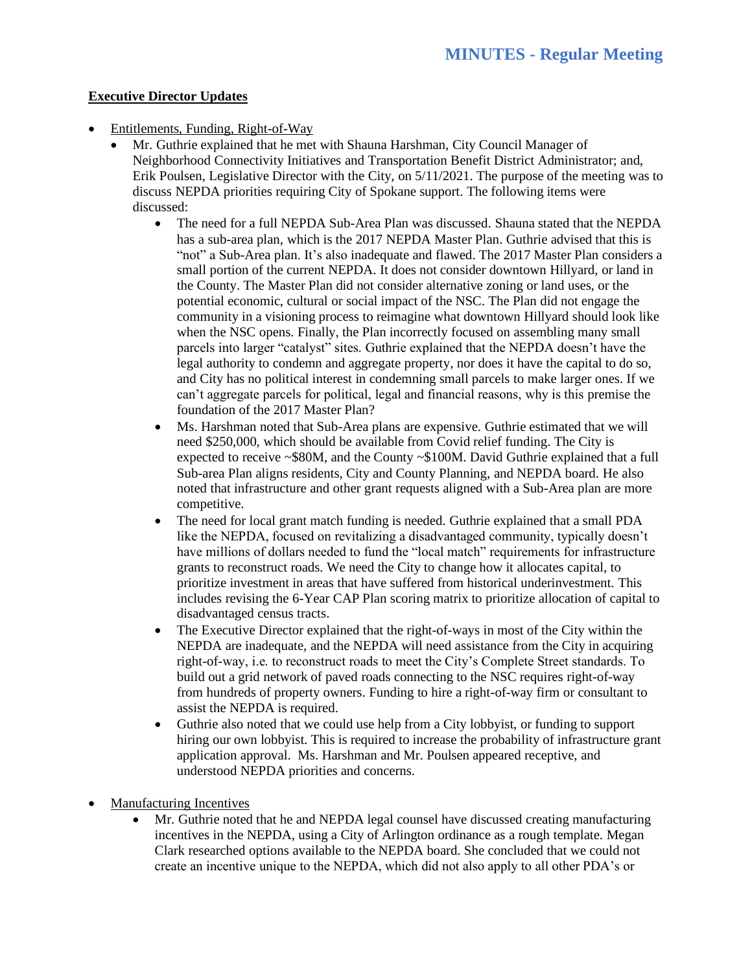## **Executive Director Updates**

- Entitlements, Funding, Right-of-Way
	- Mr. Guthrie explained that he met with Shauna Harshman, City Council Manager of Neighborhood Connectivity Initiatives and Transportation Benefit District Administrator; and, Erik Poulsen, Legislative Director with the City, on 5/11/2021. The purpose of the meeting was to discuss NEPDA priorities requiring City of Spokane support. The following items were discussed:
		- The need for a full NEPDA Sub-Area Plan was discussed. Shauna stated that the NEPDA has a sub-area plan, which is the 2017 NEPDA Master Plan. Guthrie advised that this is "not" a Sub-Area plan. It's also inadequate and flawed. The 2017 Master Plan considers a small portion of the current NEPDA. It does not consider downtown Hillyard, or land in the County. The Master Plan did not consider alternative zoning or land uses, or the potential economic, cultural or social impact of the NSC. The Plan did not engage the community in a visioning process to reimagine what downtown Hillyard should look like when the NSC opens. Finally, the Plan incorrectly focused on assembling many small parcels into larger "catalyst" sites. Guthrie explained that the NEPDA doesn't have the legal authority to condemn and aggregate property, nor does it have the capital to do so, and City has no political interest in condemning small parcels to make larger ones. If we can't aggregate parcels for political, legal and financial reasons, why is this premise the foundation of the 2017 Master Plan?
		- Ms. Harshman noted that Sub-Area plans are expensive. Guthrie estimated that we will need \$250,000, which should be available from Covid relief funding. The City is expected to receive ~\$80M, and the County ~\$100M. David Guthrie explained that a full Sub-area Plan aligns residents, City and County Planning, and NEPDA board. He also noted that infrastructure and other grant requests aligned with a Sub-Area plan are more competitive.
		- The need for local grant match funding is needed. Guthrie explained that a small PDA like the NEPDA, focused on revitalizing a disadvantaged community, typically doesn't have millions of dollars needed to fund the "local match" requirements for infrastructure grants to reconstruct roads. We need the City to change how it allocates capital, to prioritize investment in areas that have suffered from historical underinvestment. This includes revising the 6-Year CAP Plan scoring matrix to prioritize allocation of capital to disadvantaged census tracts.
		- The Executive Director explained that the right-of-ways in most of the City within the NEPDA are inadequate, and the NEPDA will need assistance from the City in acquiring right-of-way, i.e. to reconstruct roads to meet the City's Complete Street standards. To build out a grid network of paved roads connecting to the NSC requires right-of-way from hundreds of property owners. Funding to hire a right-of-way firm or consultant to assist the NEPDA is required.
		- Guthrie also noted that we could use help from a City lobbyist, or funding to support hiring our own lobbyist. This is required to increase the probability of infrastructure grant application approval. Ms. Harshman and Mr. Poulsen appeared receptive, and understood NEPDA priorities and concerns.
- Manufacturing Incentives
	- Mr. Guthrie noted that he and NEPDA legal counsel have discussed creating manufacturing incentives in the NEPDA, using a City of Arlington ordinance as a rough template. Megan Clark researched options available to the NEPDA board. She concluded that we could not create an incentive unique to the NEPDA, which did not also apply to all other PDA's or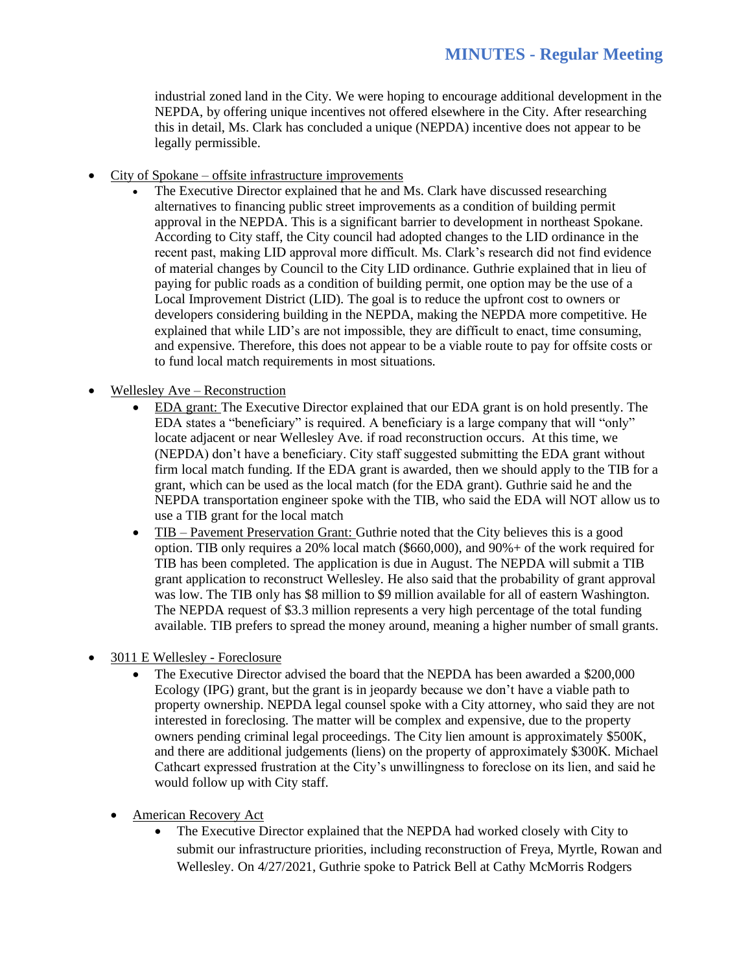industrial zoned land in the City. We were hoping to encourage additional development in the NEPDA, by offering unique incentives not offered elsewhere in the City. After researching this in detail, Ms. Clark has concluded a unique (NEPDA) incentive does not appear to be legally permissible.

- City of Spokane offsite infrastructure improvements
	- The Executive Director explained that he and Ms. Clark have discussed researching alternatives to financing public street improvements as a condition of building permit approval in the NEPDA. This is a significant barrier to development in northeast Spokane. According to City staff, the City council had adopted changes to the LID ordinance in the recent past, making LID approval more difficult. Ms. Clark's research did not find evidence of material changes by Council to the City LID ordinance. Guthrie explained that in lieu of paying for public roads as a condition of building permit, one option may be the use of a Local Improvement District (LID). The goal is to reduce the upfront cost to owners or developers considering building in the NEPDA, making the NEPDA more competitive. He explained that while LID's are not impossible, they are difficult to enact, time consuming, and expensive. Therefore, this does not appear to be a viable route to pay for offsite costs or to fund local match requirements in most situations.
- Wellesley Ave Reconstruction
	- EDA grant: The Executive Director explained that our EDA grant is on hold presently. The EDA states a "beneficiary" is required. A beneficiary is a large company that will "only" locate adjacent or near Wellesley Ave. if road reconstruction occurs. At this time, we (NEPDA) don't have a beneficiary. City staff suggested submitting the EDA grant without firm local match funding. If the EDA grant is awarded, then we should apply to the TIB for a grant, which can be used as the local match (for the EDA grant). Guthrie said he and the NEPDA transportation engineer spoke with the TIB, who said the EDA will NOT allow us to use a TIB grant for the local match
	- TIB Pavement Preservation Grant: Guthrie noted that the City believes this is a good option. TIB only requires a 20% local match (\$660,000), and 90%+ of the work required for TIB has been completed. The application is due in August. The NEPDA will submit a TIB grant application to reconstruct Wellesley. He also said that the probability of grant approval was low. The TIB only has \$8 million to \$9 million available for all of eastern Washington. The NEPDA request of \$3.3 million represents a very high percentage of the total funding available. TIB prefers to spread the money around, meaning a higher number of small grants.
- 3011 E Wellesley Foreclosure
	- The Executive Director advised the board that the NEPDA has been awarded a \$200,000 Ecology (IPG) grant, but the grant is in jeopardy because we don't have a viable path to property ownership. NEPDA legal counsel spoke with a City attorney, who said they are not interested in foreclosing. The matter will be complex and expensive, due to the property owners pending criminal legal proceedings. The City lien amount is approximately \$500K, and there are additional judgements (liens) on the property of approximately \$300K. Michael Cathcart expressed frustration at the City's unwillingness to foreclose on its lien, and said he would follow up with City staff.
	- American Recovery Act
		- The Executive Director explained that the NEPDA had worked closely with City to submit our infrastructure priorities, including reconstruction of Freya, Myrtle, Rowan and Wellesley. On 4/27/2021, Guthrie spoke to Patrick Bell at Cathy McMorris Rodgers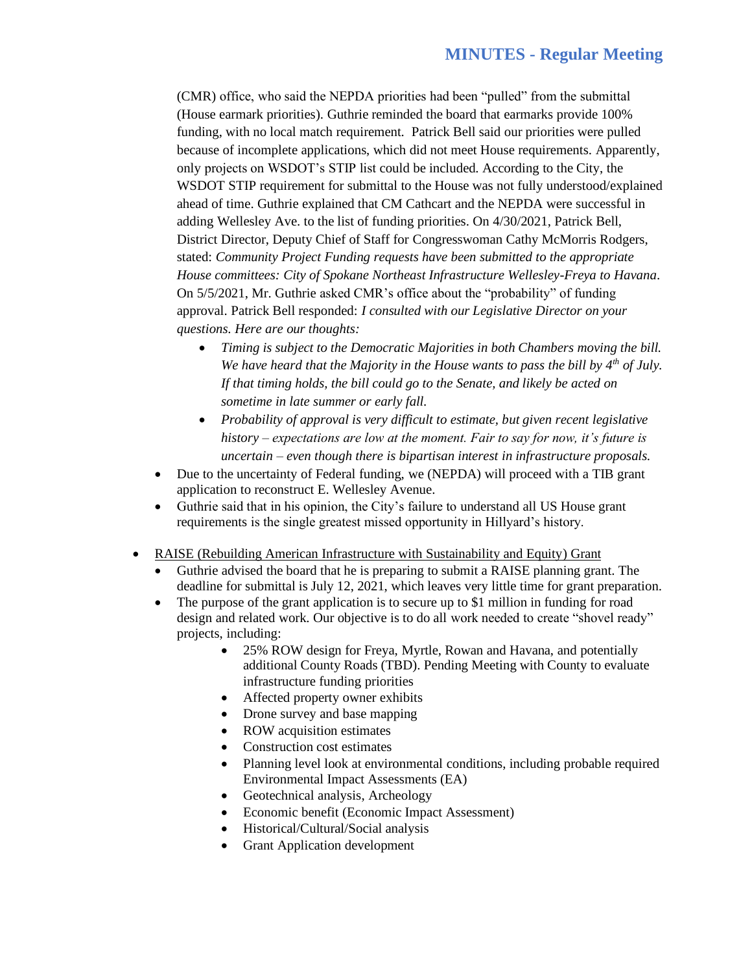(CMR) office, who said the NEPDA priorities had been "pulled" from the submittal (House earmark priorities). Guthrie reminded the board that earmarks provide 100% funding, with no local match requirement. Patrick Bell said our priorities were pulled because of incomplete applications, which did not meet House requirements. Apparently, only projects on WSDOT's STIP list could be included. According to the City, the WSDOT STIP requirement for submittal to the House was not fully understood/explained ahead of time. Guthrie explained that CM Cathcart and the NEPDA were successful in adding Wellesley Ave. to the list of funding priorities. On 4/30/2021, Patrick Bell, District Director, Deputy Chief of Staff for Congresswoman Cathy McMorris Rodgers, stated: *Community Project Funding requests have been submitted to the appropriate House committees: City of Spokane Northeast Infrastructure Wellesley-Freya to Havana*. On 5/5/2021, Mr. Guthrie asked CMR's office about the "probability" of funding approval. Patrick Bell responded: *I consulted with our Legislative Director on your questions. Here are our thoughts:* 

- *Timing is subject to the Democratic Majorities in both Chambers moving the bill. We have heard that the Majority in the House wants to pass the bill by 4th of July. If that timing holds, the bill could go to the Senate, and likely be acted on sometime in late summer or early fall.*
- *Probability of approval is very difficult to estimate, but given recent legislative history – expectations are low at the moment. Fair to say for now, it's future is uncertain – even though there is bipartisan interest in infrastructure proposals.*
- Due to the uncertainty of Federal funding, we (NEPDA) will proceed with a TIB grant application to reconstruct E. Wellesley Avenue.
- Guthrie said that in his opinion, the City's failure to understand all US House grant requirements is the single greatest missed opportunity in Hillyard's history.
- RAISE (Rebuilding American Infrastructure with Sustainability and Equity) Grant
	- Guthrie advised the board that he is preparing to submit a RAISE planning grant. The deadline for submittal is July 12, 2021, which leaves very little time for grant preparation.
	- The purpose of the grant application is to secure up to \$1 million in funding for road design and related work. Our objective is to do all work needed to create "shovel ready" projects, including:
		- 25% ROW design for Freya, Myrtle, Rowan and Havana, and potentially additional County Roads (TBD). Pending Meeting with County to evaluate infrastructure funding priorities
		- Affected property owner exhibits
		- Drone survey and base mapping
		- ROW acquisition estimates
		- Construction cost estimates
		- Planning level look at environmental conditions, including probable required Environmental Impact Assessments (EA)
		- Geotechnical analysis, Archeology
		- Economic benefit (Economic Impact Assessment)
		- Historical/Cultural/Social analysis
		- Grant Application development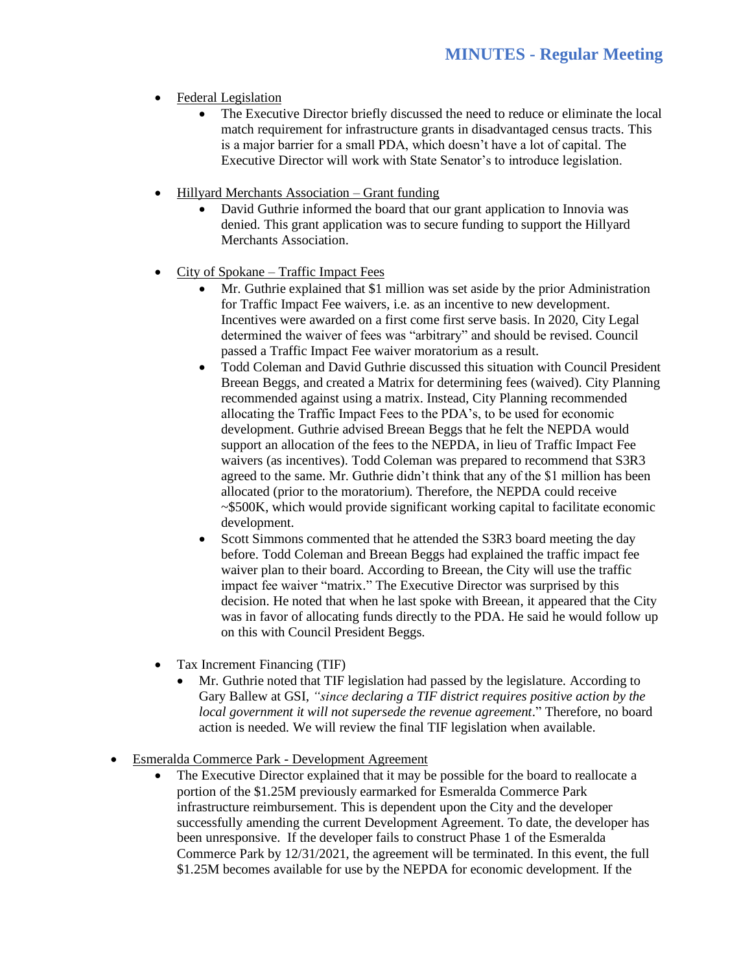- Federal Legislation
	- The Executive Director briefly discussed the need to reduce or eliminate the local match requirement for infrastructure grants in disadvantaged census tracts. This is a major barrier for a small PDA, which doesn't have a lot of capital. The Executive Director will work with State Senator's to introduce legislation.
- Hillyard Merchants Association Grant funding
	- David Guthrie informed the board that our grant application to Innovia was denied. This grant application was to secure funding to support the Hillyard Merchants Association.
- City of Spokane Traffic Impact Fees
	- Mr. Guthrie explained that \$1 million was set aside by the prior Administration for Traffic Impact Fee waivers, i.e. as an incentive to new development. Incentives were awarded on a first come first serve basis. In 2020, City Legal determined the waiver of fees was "arbitrary" and should be revised. Council passed a Traffic Impact Fee waiver moratorium as a result.
	- Todd Coleman and David Guthrie discussed this situation with Council President Breean Beggs, and created a Matrix for determining fees (waived). City Planning recommended against using a matrix. Instead, City Planning recommended allocating the Traffic Impact Fees to the PDA's, to be used for economic development. Guthrie advised Breean Beggs that he felt the NEPDA would support an allocation of the fees to the NEPDA, in lieu of Traffic Impact Fee waivers (as incentives). Todd Coleman was prepared to recommend that S3R3 agreed to the same. Mr. Guthrie didn't think that any of the \$1 million has been allocated (prior to the moratorium). Therefore, the NEPDA could receive ~\$500K, which would provide significant working capital to facilitate economic development.
	- Scott Simmons commented that he attended the S3R3 board meeting the day before. Todd Coleman and Breean Beggs had explained the traffic impact fee waiver plan to their board. According to Breean, the City will use the traffic impact fee waiver "matrix." The Executive Director was surprised by this decision. He noted that when he last spoke with Breean, it appeared that the City was in favor of allocating funds directly to the PDA. He said he would follow up on this with Council President Beggs.
- Tax Increment Financing (TIF)
	- Mr. Guthrie noted that TIF legislation had passed by the legislature. According to Gary Ballew at GSI, *"since declaring a TIF district requires positive action by the local government it will not supersede the revenue agreement*." Therefore, no board action is needed. We will review the final TIF legislation when available.
- Esmeralda Commerce Park Development Agreement
	- The Executive Director explained that it may be possible for the board to reallocate a portion of the \$1.25M previously earmarked for Esmeralda Commerce Park infrastructure reimbursement. This is dependent upon the City and the developer successfully amending the current Development Agreement. To date, the developer has been unresponsive. If the developer fails to construct Phase 1 of the Esmeralda Commerce Park by 12/31/2021, the agreement will be terminated. In this event, the full \$1.25M becomes available for use by the NEPDA for economic development. If the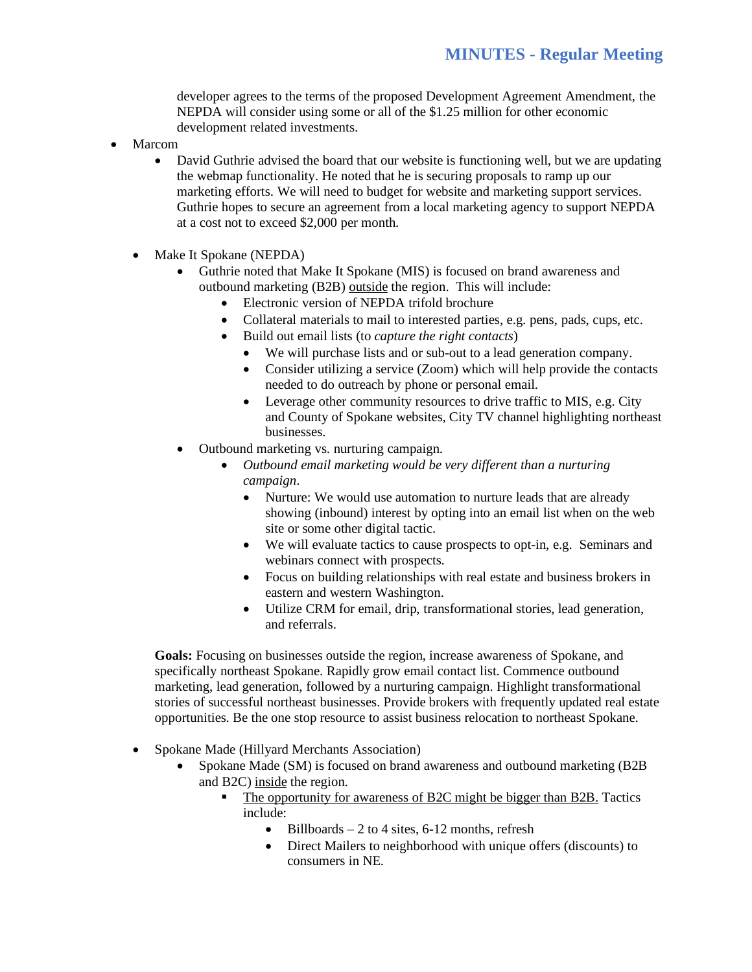developer agrees to the terms of the proposed Development Agreement Amendment, the NEPDA will consider using some or all of the \$1.25 million for other economic development related investments.

- **Marcom** 
	- David Guthrie advised the board that our website is functioning well, but we are updating the webmap functionality. He noted that he is securing proposals to ramp up our marketing efforts. We will need to budget for website and marketing support services. Guthrie hopes to secure an agreement from a local marketing agency to support NEPDA at a cost not to exceed \$2,000 per month.
	- Make It Spokane (NEPDA)
		- Guthrie noted that Make It Spokane (MIS) is focused on brand awareness and outbound marketing (B2B) outside the region. This will include:
			- Electronic version of NEPDA trifold brochure
			- Collateral materials to mail to interested parties, e.g. pens, pads, cups, etc.
			- Build out email lists (to *capture the right contacts*)
				- We will purchase lists and or sub-out to a lead generation company.
				- Consider utilizing a service (Zoom) which will help provide the contacts needed to do outreach by phone or personal email.
				- Leverage other community resources to drive traffic to MIS, e.g. City and County of Spokane websites, City TV channel highlighting northeast businesses.
		- Outbound marketing vs. nurturing campaign.
			- *Outbound email marketing would be very different than a nurturing campaign*.
				- Nurture: We would use automation to nurture leads that are already showing (inbound) interest by opting into an email list when on the web site or some other digital tactic.
				- We will evaluate tactics to cause prospects to opt-in, e.g. Seminars and webinars connect with prospects.
				- Focus on building relationships with real estate and business brokers in eastern and western Washington.
				- Utilize CRM for email, drip, transformational stories, lead generation, and referrals.

**Goals:** Focusing on businesses outside the region, increase awareness of Spokane, and specifically northeast Spokane. Rapidly grow email contact list. Commence outbound marketing, lead generation, followed by a nurturing campaign. Highlight transformational stories of successful northeast businesses. Provide brokers with frequently updated real estate opportunities. Be the one stop resource to assist business relocation to northeast Spokane.

- Spokane Made (Hillyard Merchants Association)
	- Spokane Made (SM) is focused on brand awareness and outbound marketing (B2B and B2C) inside the region.
		- The opportunity for awareness of B2C might be bigger than B2B. Tactics include:
			- Billboards 2 to 4 sites, 6-12 months, refresh
			- Direct Mailers to neighborhood with unique offers (discounts) to consumers in NE.